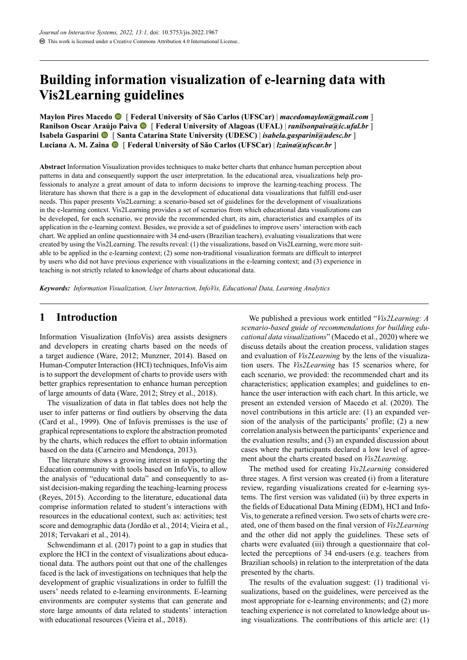# **Building information visualization of elearning data with Vis2Learning guidelines**

**Maylon Pires Macedo** [ **Federal University of São Carlos (UFSCar)** | *[macedomaylon@gmail.com](mailto:macedomaylon@gmail.com)* ] **Ranilson Oscar Araújo Paiva** [ **Federal University of Alagoas (UFAL)** | *[ranilsonpaiva@ic.ufal.br](mailto:ranilsonpaiva@ic.ufal.br)* ] **Isabela Gasparini** [ **Santa Catarina State University (UDESC)** | *[isabela.gasparini@udesc.br](mailto:isabela.gasparini@udesc.br)* ] **Luciana A. M. Zaina** [ **Federal University of São Carlos (UFSCar)** | *[lzaina@ufscar.br](mailto:lzaina@ufscar.br)* ]

**Abstract** Information Visualization provides techniques to make better charts that enhance human perception about patterns in data and consequently support the user interpretation. In the educational area, visualizations help professionals to analyze a great amount of data to inform decisions to improve the learning-teaching process. The literature has shown that there is a gap in the development of educational data visualizations that fulfill end-user needs. This paper presents Vis2Learning: a scenario-based set of guidelines for the development of visualizations in the elearning context. Vis2Learning provides a set of scenarios from which educational data visualizations can be developed, for each scenario, we provide the recommended chart, its aim, characteristics and examples of its application in the elearning context. Besides, we provide a set of guidelines to improve users' interaction with each chart. We applied an online questionnaire with 34 end-users (Brazilian teachers), evaluating visualizations that were created by using the Vis2Learning. The results reveal: (1) the visualizations, based on Vis2Learning, were more suitable to be applied in the e-learning context; (2) some non-traditional visualization formats are difficult to interpret by users who did not have previous experience with visualizations in the elearning context; and (3) experience in teaching is not strictly related to knowledge of charts about educational data.

*Keywords: Information Visualization, User Interaction, InfoVis, Educational Data, Learning Analytics*

# **1 Introduction**

Information Visualization (InfoVis) area assists designers and developers in creating charts based on the needs of a target audience([Ware,](#page-11-0) [2012;](#page-11-0) [Munzner](#page-11-1), [2014](#page-11-1)). Based on Human-Computer Interaction (HCI) techniques, InfoVis aim is to support the development of charts to provide users with better graphics representation to enhance human perception of large amounts of data([Ware,](#page-11-0) [2012;](#page-11-0) [Strey et al.,](#page-11-2) [2018\)](#page-11-2).

The visualization of data in flat tables does not help the user to infer patterns or find outliers by observing the data [\(Card et al.,](#page-10-0) [1999\)](#page-10-0). One of Infovis premisses is the use of graphical representations to explore the abstraction promoted by the charts, which reduces the effort to obtain information based on the data [\(Carneiro and Mendonça](#page-10-1), [2013](#page-10-1)).

The literature shows a growing interest in supporting the Education community with tools based on InfoVis, to allow the analysis of "educational data" and consequently to assist decision-making regarding the teaching-learning process [\(Reyes,](#page-11-3) [2015](#page-11-3)). According to the literature, educational data comprise information related to student's interactions with resources in the educational context, such as: activities; test score and demographic data [\(Jordão et al.,](#page-10-2) [2014](#page-10-2); [Vieira et al.](#page-11-4), [2018](#page-11-4); [Tervakari et al.](#page-11-5), [2014](#page-11-5)).

[Schwendimann et al.](#page-11-6) [\(2017\)](#page-11-6) point to a gap in studies that explore the HCI in the context of visualizations about educational data. The authors point out that one of the challenges faced is the lack of investigations on techniques that help the development of graphic visualizations in order to fulfill the users' needs related to e-learning environments. E-learning environments are computer systems that can generate and store large amounts of data related to students' interaction with educational resources [\(Vieira et al.](#page-11-4), [2018](#page-11-4)).

We published a previous work entitled "*Vis2Learning: A* scenario-based guide of recommendations for building edu*cational data visualizations*" [\(Macedo et al.](#page-11-7), [2020](#page-11-7)) where we discuss details about the creation process, validation stages and evaluation of *Vis2Learning* by the lens of the visualization users. The *Vis2Learning* has 15 scenarios where, for each scenario, we provided: the recommended chart and its characteristics; application examples; and guidelines to enhance the user interaction with each chart. In this article, we present an extended version of [Macedo et al.](#page-11-7) ([2020](#page-11-7)). The novel contributions in this article are: (1) an expanded version of the analysis of the participants' profile; (2) a new correlation analysis between the participants' experience and the evaluation results; and (3) an expanded discussion about cases where the participants declared a low level of agreement about the charts created based on *Vis2Learning*.

The method used for creating *Vis2Learning* considered three stages. A first version was created (i) from a literature review, regarding visualizations created for e-learning systems. The first version was validated (ii) by three experts in the fields of Educational Data Mining (EDM), HCI and Info-Vis, to generate a refined version. Two sets of charts were created, one of them based on the final version of *Vis2Learning* and the other did not apply the guidelines. These sets of charts were evaluated (iii) through a questionnaire that collected the perceptions of 34 end-users (e.g. teachers from Brazilian schools) in relation to the interpretation of the data presented by the charts.

The results of the evaluation suggest: (1) traditional visualizations, based on the guidelines, were perceived as the most appropriate for e-learning environments; and (2) more teaching experience is not correlated to knowledge about using visualizations. The contributions of this article are: (1)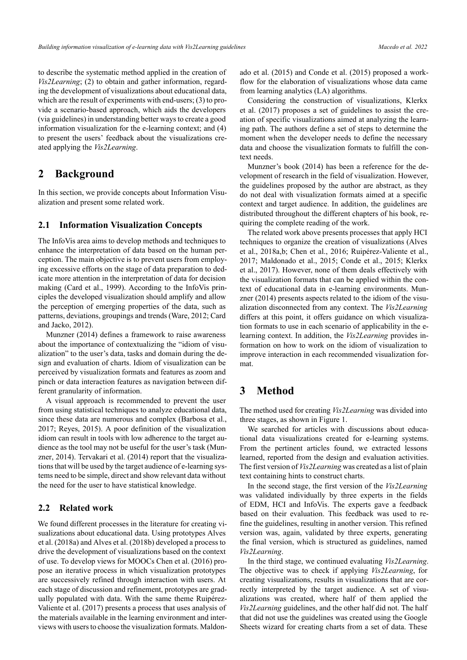to describe the systematic method applied in the creation of *Vis2Learning*; (2) to obtain and gather information, regarding the development of visualizations about educational data, which are the result of experiments with end-users;  $(3)$  to provide a scenario-based approach, which aids the developers (via guidelines) in understanding better ways to create a good information visualization for the e-learning context; and (4) to present the users' feedback about the visualizations created applying the *Vis2Learning*.

### **2 Background**

In this section, we provide concepts about Information Visualization and present some related work.

#### **2.1 Information Visualization Concepts**

The InfoVis area aims to develop methods and techniques to enhance the interpretation of data based on the human perception. The main objective is to prevent users from employing excessive efforts on the stage of data preparation to dedicate more attention in the interpretation of data for decision making [\(Card et al.,](#page-10-0) [1999\)](#page-10-0). According to the InfoVis principles the developed visualization should amplify and allow the perception of emerging properties of the data, such as patterns, deviations, groupings and trends [\(Ware](#page-11-0), [2012;](#page-11-0) [Card](#page-10-3) [and Jacko](#page-10-3), [2012](#page-10-3)).

[Munzner](#page-11-1) [\(2014](#page-11-1)) defines a framework to raise awareness about the importance of contextualizing the "idiom of visualization" to the user's data, tasks and domain during the design and evaluation of charts. Idiom of visualization can be perceived by visualization formats and features as zoom and pinch or data interaction features as navigation between different granularity of information.

A visual approach is recommended to prevent the user from using statistical techniques to analyze educational data, since these data are numerous and complex [\(Barbosa et al.,](#page-10-4) [2017;](#page-10-4) [Reyes](#page-11-3), [2015](#page-11-3)). A poor definition of the visualization idiom can result in tools with low adherence to the target audience as the tool may not be useful for the user's task [\(Mun](#page-11-1)[zner,](#page-11-1) [2014\)](#page-11-1). [Tervakari et al.](#page-11-5) ([2014\)](#page-11-5) report that the visualizations that will be used by the target audience of e-learning systems need to be simple, direct and show relevant data without the need for the user to have statistical knowledge.

#### <span id="page-1-0"></span>**2.2 Related work**

We found different processes in the literature for creating visualizations about educational data. Using prototypes [Alves](#page-10-5) [et al.](#page-10-5) ([2018a](#page-10-5)) and [Alves et al.](#page-10-6) ([2018b](#page-10-6)) developed a process to drive the development of visualizations based on the context of use. To develop views for MOOCs [Chen et al.](#page-10-7) [\(2016](#page-10-7)) propose an iterative process in which visualization prototypes are successively refined through interaction with users. At each stage of discussion and refinement, prototypes are gradually populated with data. With the same theme [Ruipérez-](#page-11-8)[Valiente et al.](#page-11-8) [\(2017](#page-11-8)) presents a process that uses analysis of the materials available in the learning environment and interviews with users to choose the visualization formats. [Maldon-](#page-11-9) [ado et al.](#page-11-9) ([2015\)](#page-11-9) and [Conde et al.](#page-10-8) [\(2015](#page-10-8)) proposed a workflow for the elaboration of visualizations whose data came from learning analytics (LA) algorithms.

Considering the construction of visualizations, [Klerkx](#page-10-9) [et al.](#page-10-9) [\(2017](#page-10-9)) proposes a set of guidelines to assist the creation of specific visualizations aimed at analyzing the learning path. The authors define a set of steps to determine the moment when the developer needs to define the necessary data and choose the visualization formats to fulfill the context needs.

Munzner's book([2014\)](#page-11-1) has been a reference for the development of research in the field of visualization. However, the guidelines proposed by the author are abstract, as they do not deal with visualization formats aimed at a specific context and target audience. In addition, the guidelines are distributed throughout the different chapters of his book, requiring the complete reading of the work.

The related work above presents processes that apply HCI techniques to organize the creation of visualizations([Alves](#page-10-5) [et al.](#page-10-5), [2018a,](#page-10-5)[b](#page-10-6); [Chen et al.](#page-10-7), [2016](#page-10-7); Ruipérez-Valiente et al., [2017;](#page-11-8) [Maldonado et al.,](#page-11-9) [2015](#page-11-9); [Conde et al.,](#page-10-8) [2015;](#page-10-8) [Klerkx](#page-10-9) [et al.,](#page-10-9) [2017](#page-10-9)). However, none of them deals effectively with the visualization formats that can be applied within the con-text of educational data in e-learning environments. [Mun](#page-11-1)[zner](#page-11-1) ([2014\)](#page-11-1) presents aspects related to the idiom of the visualization disconnected from any context. The *Vis2Learning* differs at this point, it offers guidance on which visualization formats to use in each scenario of applicability in the elearning context. In addition, the *Vis2Learning* provides information on how to work on the idiom of visualization to improve interaction in each recommended visualization format.

# **3 Method**

The method used for creating *Vis2Learning* was divided into three stages, as shown in Figure [1.](#page-2-0)

We searched for articles with discussions about educational data visualizations created for e-learning systems. From the pertinent articles found, we extracted lessons learned, reported from the design and evaluation activities. The first version of *Vis2Learning* was created as a list of plain text containing hints to construct charts.

In the second stage, the first version of the *Vis2Learning* was validated individually by three experts in the fields of EDM, HCI and InfoVis. The experts gave a feedback based on their evaluation. This feedback was used to refine the guidelines, resulting in another version. This refined version was, again, validated by three experts, generating the final version, which is structured as guidelines, named *Vis2Learning*.

In the third stage, we continued evaluating *Vis2Learning*. The objective was to check if applying *Vis2Learning*, for creating visualizations, results in visualizations that are correctly interpreted by the target audience. A set of visualizations was created, where half of them applied the *Vis2Learning* guidelines, and the other half did not. The half that did not use the guidelines was created using the Google Sheets wizard for creating charts from a set of data. These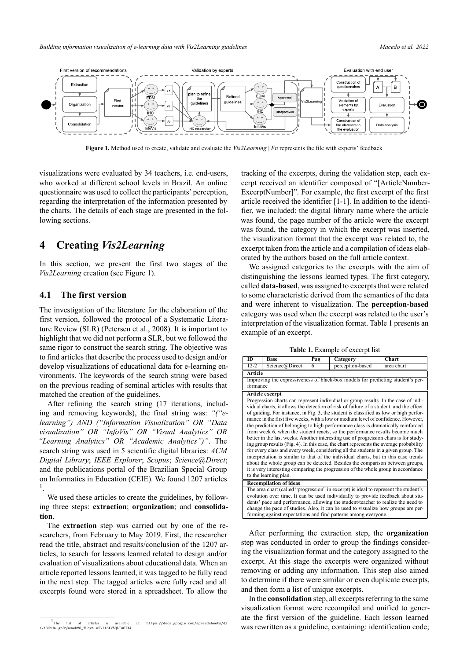<span id="page-2-0"></span>

**Figure 1.** Method used to create, validate and evaluate the *Vis2Learning* | *Fn* represents the file with experts' feedback

visualizations were evaluated by 34 teachers, i.e. endusers, who worked at different school levels in Brazil. An online questionnaire was used to collect the participants' perception, regarding the interpretation of the information presented by the charts. The details of each stage are presented in the following sections.

# **4 Creating** *Vis2Learning*

In this section, we present the first two stages of the *Vis2Learning* creation (see Figure [1\)](#page-2-0).

### **4.1 The first version**

The investigation of the literature for the elaboration of the first version, followed the protocol of a Systematic Literature Review (SLR)([Petersen et al.,](#page-11-10) [2008\)](#page-11-10). It is important to highlight that we did not perform a SLR, but we followed the same rigor to construct the search string. The objective was to find articles that describe the process used to design and/or develop visualizations of educational data for e-learning environments. The keywords of the search string were based on the previous reading of seminal articles with results that matched the creation of the guidelines.

After refining the search string (17 iterations, including and removing keywords), the final string was: *"("elearning") AND ("Information Visualization" OR "Data visualization" OR "InfoVis" OR "Visual Analytics" OR "Learning Analytics" OR "Academic Analytics")"*. The search string was used in 5 scientific digital libraries: *ACM Digital Library*; *IEEE Explorer*; *Scopus*; *Science@Direct*; and the publications portal of the Brazilian Special Group on Informatics in Education (CEIE). We found 1207 articles 1 .

We used these articles to create the guidelines, by following three steps: **extraction**; **organization**; and **consolidation**.

The **extraction** step was carried out by one of the researchers, from February to May 2019. First, the researcher read the title, abstract and results/conclusion of the 1207 articles, to search for lessons learned related to design and/or evaluation of visualizations about educational data. When an article reported lessons learned, it was tagged to be fully read in the next step. The tagged articles were fully read and all excerpts found were stored in a spreadsheet. To allow the

tracking of the excerpts, during the validation step, each excerpt received an identifier composed of "[ArticleNumber-ExcerptNumber]". For example, the first excerpt of the first article received the identifier  $[1-1]$ . In addition to the identifier, we included: the digital library name where the article was found, the page number of the article were the excerpt was found, the category in which the excerpt was inserted, the visualization format that the excerpt was related to, the excerpt taken from the article and a compilation of ideas elaborated by the authors based on the full article context.

We assigned categories to the excerpts with the aim of distinguishing the lessons learned types. The first category, called **data-based**, was assigned to excerpts that were related to some characteristic derived from the semantics of the data and were inherent to visualization. The **perception-based** category was used when the excerpt was related to the user's interpretation of the visualization format. Table [1](#page-2-1) presents an example of an excerpt.

**Table 1.** Example of excerpt list

<span id="page-2-1"></span>

| ID                                                                                   | <b>Base</b>                                                                       | Pag | Category                                                                               | Chart      |  |  |  |  |
|--------------------------------------------------------------------------------------|-----------------------------------------------------------------------------------|-----|----------------------------------------------------------------------------------------|------------|--|--|--|--|
| $12 - 2$                                                                             | Science@Direct                                                                    | 6   | perception-based                                                                       | area chart |  |  |  |  |
| <b>Article</b>                                                                       |                                                                                   |     |                                                                                        |            |  |  |  |  |
|                                                                                      |                                                                                   |     | Improving the expressiveness of black-box models for predicting student's per-         |            |  |  |  |  |
| formance                                                                             |                                                                                   |     |                                                                                        |            |  |  |  |  |
|                                                                                      | Article excerpt                                                                   |     |                                                                                        |            |  |  |  |  |
|                                                                                      |                                                                                   |     | Progression charts can represent individual or group results. In the case of indi-     |            |  |  |  |  |
|                                                                                      |                                                                                   |     | vidual charts, it allows the detection of risk of failure of a student, and the effect |            |  |  |  |  |
|                                                                                      |                                                                                   |     | of guiding. For instance, in Fig. 3, the student is classified as low or high perfor-  |            |  |  |  |  |
|                                                                                      |                                                                                   |     | mance in the first five weeks, with a low or medium level of confidence. However,      |            |  |  |  |  |
|                                                                                      |                                                                                   |     | the prediction of belonging to high performance class is dramatically reinforced       |            |  |  |  |  |
|                                                                                      |                                                                                   |     | from week 6, when the student reacts, so the performance results become much           |            |  |  |  |  |
|                                                                                      |                                                                                   |     | better in the last weeks. Another interesting use of progression chars is for study-   |            |  |  |  |  |
|                                                                                      |                                                                                   |     | ing group results (Fig. 4). In this case, the chart represents the average probability |            |  |  |  |  |
|                                                                                      |                                                                                   |     | for every class and every week, considering all the students in a given group. The     |            |  |  |  |  |
|                                                                                      |                                                                                   |     | interpretation is similar to that of the individual charts, but in this case trends    |            |  |  |  |  |
|                                                                                      |                                                                                   |     | about the whole group can be detected. Besides the comparison between groups,          |            |  |  |  |  |
|                                                                                      |                                                                                   |     | it is very interesting comparing the progression of the whole group in accordance      |            |  |  |  |  |
|                                                                                      | to the learning plan.                                                             |     |                                                                                        |            |  |  |  |  |
| <b>Recompilation of ideas</b>                                                        |                                                                                   |     |                                                                                        |            |  |  |  |  |
| The area chart (called "progression" in excerpt) is ideal to represent the student's |                                                                                   |     |                                                                                        |            |  |  |  |  |
|                                                                                      | evolution over time. It can be used individually to provide feedback about stu-   |     |                                                                                        |            |  |  |  |  |
| dents' pace and performance, allowing the student/teacher to realize the need to     |                                                                                   |     |                                                                                        |            |  |  |  |  |
|                                                                                      | change the pace of studies. Also, it can be used to visualize how groups are per- |     |                                                                                        |            |  |  |  |  |
|                                                                                      |                                                                                   |     | forming against expectations and find patterns among everyone.                         |            |  |  |  |  |
|                                                                                      |                                                                                   |     |                                                                                        |            |  |  |  |  |

After performing the extraction step, the **organization** step was conducted in order to group the findings considering the visualization format and the category assigned to the excerpt. At this stage the excerpts were organized without removing or adding any information. This step also aimed to determine if there were similar or even duplicate excerpts, and then form a list of unique excerpts.

In the **consolidation** step, all excerpts referring to the same visualization format were recompiled and unified to generate the first version of the guideline. Each lesson learned was rewritten as a guideline, containing: identification code;

 $1$  The list of articles is available at: [https://docs.google.com/spreadsheets/d/](https://docs.google.com/spreadsheets/d/1V1BHmJa-ghDqBuneDM6_TUqwh-a5Vl13XV5QLT4CIX4) [1V1BHmJa-ghDqBuneDM6\\_TUqwh-a5Vl13XV5QLT4CIX4](https://docs.google.com/spreadsheets/d/1V1BHmJa-ghDqBuneDM6_TUqwh-a5Vl13XV5QLT4CIX4)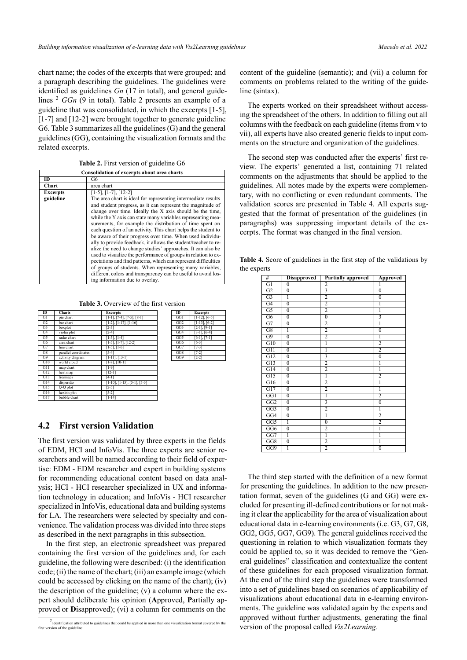chart name; the codes of the excerpts that were grouped; and a paragraph describing the guidelines. The guidelines were identified as guidelines *Gn* (17 in total), and general guidelines 2 *GGn* (9 in total). Table [2](#page-3-0) presents an example of a guideline that was consolidated, in which the excerpts [15], [1-7] and [12-2] were brought together to generate guideline G6. Table [3](#page-3-1) summarizes all the guidelines (G) and the general guidelines (GG), containing the visualization formats and the related excerpts.

**Table 2.** First version of guideline G6

<span id="page-3-0"></span>

| Consolidation of excerpts about area charts     |                                                                                                                                                                                                                                                                                                                                                                                                                                                                                                                                                                                                                                                                                                                                                                                                                                                                                        |  |  |  |  |
|-------------------------------------------------|----------------------------------------------------------------------------------------------------------------------------------------------------------------------------------------------------------------------------------------------------------------------------------------------------------------------------------------------------------------------------------------------------------------------------------------------------------------------------------------------------------------------------------------------------------------------------------------------------------------------------------------------------------------------------------------------------------------------------------------------------------------------------------------------------------------------------------------------------------------------------------------|--|--|--|--|
| ID                                              | G6                                                                                                                                                                                                                                                                                                                                                                                                                                                                                                                                                                                                                                                                                                                                                                                                                                                                                     |  |  |  |  |
| <b>Chart</b>                                    | area chart                                                                                                                                                                                                                                                                                                                                                                                                                                                                                                                                                                                                                                                                                                                                                                                                                                                                             |  |  |  |  |
| $[1-5]$ , $[1-7]$ , $[12-2]$<br><b>Excerpts</b> |                                                                                                                                                                                                                                                                                                                                                                                                                                                                                                                                                                                                                                                                                                                                                                                                                                                                                        |  |  |  |  |
| guideline                                       | The area chart is ideal for representing intermediate results<br>and student progress, as it can represent the magnitude of<br>change over time. Ideally the X axis should be the time,<br>while the Y axis can state many variables representing mea-<br>surements, for example the distribution of time spent on<br>each question of an activity. This chart helps the student to<br>be aware of their progress over time. When used individu-<br>ally to provide feedback, it allows the student/teacher to re-<br>alize the need to change studies' approaches. It can also be<br>used to visualize the performance of groups in relation to ex-<br>pectations and find patterns, which can represent difficulties<br>of groups of students. When representing many variables,<br>different colors and transparency can be useful to avoid los-<br>ing information due to overlay. |  |  |  |  |

**Table 3.** Overview of the first version

<span id="page-3-1"></span>

| ID             | <b>Charts</b>        | <b>Excerpts</b>                       |
|----------------|----------------------|---------------------------------------|
| G1             | pie chart            | $[1-1]$ , $[7-4]$ , $[7-5]$ , $[8-1]$ |
| G <sub>2</sub> | bar chart            | $[1-2]$ , $[1-17]$ , $[1-16]$         |
| G <sub>3</sub> | boxplot              | $[2-3]$                               |
| G4             | violin plot          | $[2-4]$                               |
| G5             | radar chart          | $[1-3]$ , $[1-4]$                     |
| G6             | area chart           | $[1-5]$ , $[1-7]$ , $[12-2]$          |
| G7             | line chart           | $[1-5]$ , $[1-6]$                     |
| G8             | parallel coordinates | $[5-4]$                               |
| G9             | activity diagram     | $[1-11]$ , $[13-1]$                   |
| G10            | world cloud          | $[1-8]$ , $[10-1]$                    |
| G11            | map chart            | $[1-9]$                               |
| G12            | heat map             | $[12-1]$                              |
| G13            | treemaps             | $[4-1]$                               |
| G14            | dispersão            | $[1-10], [1-15], [5-1], [5-3]$        |
| G15            | Q-Q plot             | $[2-5]$                               |
| G16            | hexbin plot          | $[5-2]$                               |
| G17            | bubble chart         | $[1 - 14]$                            |

| m               | <b>Excerpts</b>    |
|-----------------|--------------------|
| GG1             | $[1-12]$ , $[6-5]$ |
| GG <sub>2</sub> | $[1-13]$ , $[6-2]$ |
| GG3             | $[2-1]$ , $[9-1]$  |
| GG4             | $[3-1]$ , $[6-4]$  |
| GG5             | $[6-1]$ , $[7-1]$  |
| GG6             | $[6-3]$            |
| GG7             | [7-3]              |
| GG8             | [7-2]              |
| GG9             | [2-2]              |

### <span id="page-3-3"></span>**4.2 First version Validation**

The first version was validated by three experts in the fields of EDM, HCI and InfoVis. The three experts are senior researchers and will be named according to their field of expertise: EDM - EDM researcher and expert in building systems for recommending educational content based on data analysis; HCI - HCI researcher specialized in UX and information technology in education; and InfoVis - HCI researcher specialized in InfoVis, educational data and building systems for LA. The researchers were selected by specialty and convenience. The validation process was divided into three steps as described in the next paragraphs in this subsection.

In the first step, an electronic spreadsheet was prepared containing the first version of the guidelines and, for each guideline, the following were described: (i) the identification code; (ii) the name of the chart; (iii) an example image (which could be accessed by clicking on the name of the chart); (iv) the description of the guideline; (v) a column where the expert should deliberate his opinion (**A**pproved, **P**artially approved or **D**isapproved); (vi) a column for comments on the

content of the guideline (semantic); and (vii) a column for comments on problems related to the writing of the guideline (sintax).

The experts worked on their spreadsheet without accessing the spreadsheet of the others. In addition to filling out all columns with the feedback on each guideline (items from v to vii), all experts have also created generic fields to input comments on the structure and organization of the guidelines.

The second step was conducted after the experts' first review. The experts' generated a list, containing 71 related comments on the adjustments that should be applied to the guidelines. All notes made by the experts were complementary, with no conflicting or even redundant comments. The validation scores are presented in [Table 4](#page-3-2). All experts suggested that the format of presentation of the guidelines (in paragraphs) was suppressing important details of the excerpts. The format was changed in the final version.

<span id="page-3-2"></span>**Table 4.** Score of guidelines in the first step of the validations by the experts

| #                | <b>Disapproved</b> | Partially approved | <b>Approved</b>  |
|------------------|--------------------|--------------------|------------------|
| $\overline{G1}$  | $\overline{0}$     | $\overline{2}$     | ī                |
| G2               | $\overline{0}$     | 3                  | $\boldsymbol{0}$ |
| G <sub>3</sub>   | 1                  | $\overline{2}$     | $\overline{0}$   |
| G4               | $\overline{0}$     | $\overline{2}$     | ī                |
| $\overline{G5}$  | $\bf{0}$           | $\overline{2}$     | $\overline{1}$   |
| G <sub>6</sub>   | $\overline{0}$     | $\overline{0}$     |                  |
| G7               | $\overline{0}$     | $\overline{2}$     | ī                |
| $\overline{G8}$  | ī                  | $\overline{2}$     | $\overline{0}$   |
| G9               | $\overline{0}$     | $\overline{2}$     | $\overline{1}$   |
| $\overline{G10}$ | $\overline{0}$     | ī                  | $\overline{2}$   |
| G11              | $\overline{0}$     | 1                  | $\overline{2}$   |
| G12              | $\overline{0}$     | 3                  | $\overline{0}$   |
| $\overline{G13}$ | $\overline{0}$     | $\overline{2}$     | ī                |
| G14              | $\mathbf{0}$       | $\overline{2}$     | $\overline{1}$   |
| G15              | $\overline{0}$     | ī                  | $\overline{2}$   |
| $\overline{G16}$ | $\overline{0}$     | $\overline{2}$     | ī                |
| G17              | $\bf{0}$           | $\overline{2}$     | $\overline{1}$   |
| GG1              | $\overline{0}$     | ī                  | 2                |
| GG2              | $\overline{0}$     | $\overline{3}$     | $\overline{0}$   |
| GG3              | $\overline{0}$     | $\overline{2}$     | $\overline{1}$   |
| GG4              | $\overline{0}$     | ī                  | 2                |
| GG5              | ī                  | $\overline{0}$     | $\overline{2}$   |
| GG6              | $\overline{0}$     | $\overline{2}$     | $\overline{1}$   |
| GG7              | ī                  | 1                  | 1                |
| GG8              | $\overline{0}$     | $\overline{2}$     | ī                |
| GG9              | ī                  | $\overline{2}$     | $\overline{0}$   |

The third step started with the definition of a new format for presenting the guidelines. In addition to the new presentation format, seven of the guidelines (G and GG) were excluded for presenting ill-defined contributions or for not making it clear the applicability for the area of visualization about educational data in e-learning environments (i.e. G3, G7, G8, GG2, GG5, GG7, GG9). The general guidelines received the questioning in relation to which visualization formats they could be applied to, so it was decided to remove the "General guidelines" classification and contextualize the content of these guidelines for each proposed visualization format. At the end of the third step the guidelines were transformed into a set of guidelines based on scenarios of applicability of visualizations about educational data in e-learning environments. The guideline was validated again by the experts and approved without further adjustments, generating the final version of the proposal called *Vis2Learning*.

<sup>2</sup> Identification attributed to guidelines that could be applied in more than one visualization format covered by the first version of the guideline.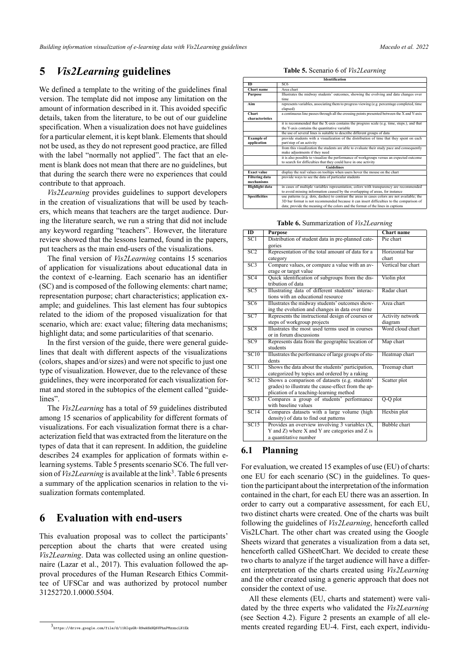# **5** *Vis2Learning* **guidelines**

We defined a template to the writing of the guidelines final version. The template did not impose any limitation on the amount of information described in it. This avoided specific details, taken from the literature, to be out of our guideline specification. When a visualization does not have guidelines for a particular element, it is kept blank. Elements that should not be used, as they do not represent good practice, are filled with the label "normally not applied". The fact that an element is blank does not mean that there are no guidelines, but that during the search there were no experiences that could contribute to that approach.

*Vis2Learning* provides guidelines to support developers in the creation of visualizations that will be used by teachers, which means that teachers are the target audience. During the literature search, we run a string that did not include any keyword regarding "teachers". However, the literature review showed that the lessons learned, found in the papers, put teachers as the main end-users of the visualizations.

The final version of *Vis2Learning* contains 15 scenarios of application for visualizations about educational data in the context of e-learning. Each scenario has an identifier (SC) and is composed of the following elements: chart name; representation purpose; chart characteristics; application example; and guidelines. This last element has four subtopics related to the idiom of the proposed visualization for that scenario, which are: exact value; filtering data mechanisms; highlight data; and some particularities of that scenario.

In the first version of the guide, there were general guidelines that dealt with different aspects of the visualizations (colors, shapes and/or sizes) and were not specific to just one type of visualization. However, due to the relevance of these guidelines, they were incorporated for each visualization format and stored in the subtopics of the element called "guidelines".

The *Vis2Learning* has a total of 59 guidelines distributed among 15 scenarios of applicability for different formats of visualizations. For each visualization format there is a characterization field that was extracted from the literature on the types of data that it can represent. In addition, the guideline describes 24 examples for application of formats within elearning systems. Table [5](#page-4-0) presents scenario SC6. The full version of *Vis2Learning* is available at the link<sup>3</sup>. Table [6](#page-4-1) presents a summary of the application scenarios in relation to the visualization formats contemplated.

# **6** Evaluation with end-users

This evaluation proposal was to collect the participants' perception about the charts that were created using *Vis2Learning*. Data was collected using an online questionnaire([Lazar et al.](#page-10-10), [2017](#page-10-10)). This evaluation followed the approval procedures of the Human Research Ethics Committee of UFSCar and was authorized by protocol number 31252720.1.0000.5504.

**Table 5.** Scenario 6 of *Vis2Learning*

<span id="page-4-0"></span>

| <b>Identification</b> |                                                                                                                |  |  |  |  |  |
|-----------------------|----------------------------------------------------------------------------------------------------------------|--|--|--|--|--|
| ID                    | SC <sub>6</sub>                                                                                                |  |  |  |  |  |
| Chart name            | Area chart                                                                                                     |  |  |  |  |  |
| <b>Purpose</b>        | Illustrates the midway students' outcomes, showing the evolving and data changes over                          |  |  |  |  |  |
|                       | time.                                                                                                          |  |  |  |  |  |
| Aim                   | represents variables, associating them to progress viewing (e.g. percentage completed, time                    |  |  |  |  |  |
|                       | elapsed)                                                                                                       |  |  |  |  |  |
| Chart                 | a continuous line passes through all the crossing points presented between the X and Y-axis                    |  |  |  |  |  |
| characteristics       |                                                                                                                |  |  |  |  |  |
|                       | it is recommended that the X-axis contains the progress scale (e.g. time, steps.), and that                    |  |  |  |  |  |
|                       | the Y-axis contains the quantitative variable                                                                  |  |  |  |  |  |
|                       | the use of several lines is suitable to describe different groups of data                                      |  |  |  |  |  |
|                       | provide students with a visualization of the distribution of time that they spent on each<br><b>Example of</b> |  |  |  |  |  |
| application           | part/step of an activity                                                                                       |  |  |  |  |  |
|                       | from this visualization the students are able to evaluate their study pace and consequently                    |  |  |  |  |  |
|                       | make adjustments if they need                                                                                  |  |  |  |  |  |
|                       | it is also possible to visualize the performance of workgroups versus an expected outcome                      |  |  |  |  |  |
|                       | to search for difficulties that they could have in one activity                                                |  |  |  |  |  |
|                       | <b>Guidelines</b>                                                                                              |  |  |  |  |  |
| <b>Exact value</b>    | display the real values on tooltips when users hover the mouse on the chart                                    |  |  |  |  |  |
| <b>Filtering data</b> | provide ways to see the data of particular students                                                            |  |  |  |  |  |
| mechanisms            |                                                                                                                |  |  |  |  |  |
| <b>Highlight data</b> | in cases of multiple variables representation, colors with transparency are recommended                        |  |  |  |  |  |
|                       | to avoid missing information caused by the overlapping of areas, for instance                                  |  |  |  |  |  |
| <b>Specificities</b>  | use patterns (e.g. dots, dashes) to contrast the areas in cases colors are not available; the                  |  |  |  |  |  |
|                       | 3D bar format is not recommended because it can insert difficulties to the comparison of                       |  |  |  |  |  |
|                       | data; provide the meaning of the colors and the format of the lines in captions                                |  |  |  |  |  |

**Table 6.** Summarization of *Vis2Learning*

<span id="page-4-1"></span>

| $\overline{ID}$   | <b>Purpose</b>                                      | <b>Chart name</b>   |
|-------------------|-----------------------------------------------------|---------------------|
| $\overline{SC1}$  | Distribution of student data in pre-planned cate-   | Pie chart           |
|                   | gories                                              |                     |
| SC2               | Representation of the total amount of data for a    | Horizontal bar      |
|                   | category                                            | chart               |
| $\overline{SC3}$  | Compare values, or compare a value with an av-      | Vertical bar chart  |
|                   | erage or target value                               |                     |
| SC4               | Quick identification of subgroups from the dis-     | Violin plot         |
|                   | tribution of data                                   |                     |
| SC5               | Illustrating data of different students' interac-   | Radar chart         |
|                   | tions with an educational resource                  |                     |
| SC6               | Illustrates the midway students' outcomes show-     | Area chart          |
|                   | ing the evolution and changes in data over time     |                     |
| SC7               | Represents the instructional design of courses or   | Activity network    |
|                   | steps of workgroup projects                         | diagram             |
| SC8               | Illustrates the most used terms used in courses     | Word cloud chart    |
|                   | or in forum discussions                             |                     |
| SC9               | Represents data from the geographic location of     | Map chart           |
|                   | students                                            |                     |
| SC10              | Illustrates the performance of large groups of stu- | Heatmap chart       |
|                   | dents                                               |                     |
| $\overline{SC11}$ | Shows the data about the students' participation,   | Treemap chart       |
|                   | categorized by topics and ordered by a raking       |                     |
| SC12              | Shows a comparison of datasets (e.g. students'      | Scatter plot        |
|                   | grades) to illustrate the cause-effect from the ap- |                     |
|                   | plication of a teaching-learning method             |                     |
| $\overline{SC13}$ | Compares a group of students' performance           | $Q-Q$ plot          |
|                   | with baseline values                                |                     |
| SC14              | Compares datasets with a large volume (high         | Hexbin plot         |
|                   | density) of data to find out patterns               |                     |
| SC15              | Provides an overview involving 3 variables (X,      | <b>Bubble</b> chart |
|                   | Y and Z) where X and Y are categories and Z is      |                     |
|                   | a quantitative number                               |                     |

#### **6.1 Planning**

For evaluation, we created 15 examples of use (EU) of charts: one EU for each scenario (SC) in the guidelines. To question the participant about the interpretation of the information contained in the chart, for each EU there was an assertion. In order to carry out a comparative assessment, for each EU, two distinct charts were created. One of the charts was built following the guidelines of *Vis2Learning*, henceforth called Vis2LChart. The other chart was created using the Google Sheets wizard that generates a visualization from a data set, henceforth called GSheetChart. We decided to create these two charts to analyze if the target audience will have a different interpretation of the charts created using *Vis2Learning* and the other created using a generic approach that does not consider the context of use.

All these elements (EU, charts and statement) were validated by the three experts who validated the *Vis2Learning* (see Section [4.2\)](#page-3-3). Figure [2](#page-5-0) presents an example of all elements created regarding EU-4. First, each expert, individu-

<sup>3</sup> <https://drive.google.com/file/d/11RIquGR-R9wA8kHQ6VPhnPMzxncLN1Ek>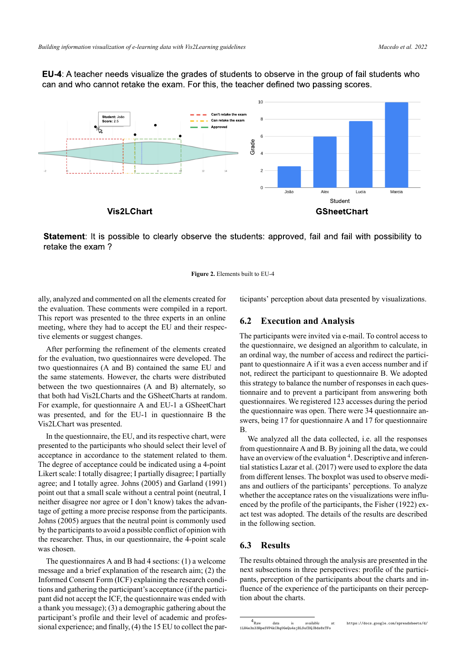<span id="page-5-0"></span>**EU-4:** A teacher needs visualize the grades of students to observe in the group of fail students who can and who cannot retake the exam. For this, the teacher defined two passing scores.



Statement: It is possible to clearly observe the students: approved, fail and fail with possibility to retake the exam?

**Figure 2.** Elements built to EU-4

ally, analyzed and commented on all the elements created for the evaluation. These comments were compiled in a report. This report was presented to the three experts in an online meeting, where they had to accept the EU and their respective elements or suggest changes.

After performing the refinement of the elements created for the evaluation, two questionnaires were developed. The two questionnaires (A and B) contained the same EU and the same statements. However, the charts were distributed between the two questionnaires (A and B) alternately, so that both had Vis2LCharts and the GSheetCharts at random. For example, for questionnaire A and EU-1 a GSheetChart was presented, and for the EU-1 in questionnaire B the Vis2LChart was presented.

In the questionnaire, the EU, and its respective chart, were presented to the participants who should select their level of acceptance in accordance to the statement related to them. The degree of acceptance could be indicated using a 4-point Likert scale: I totally disagree; I partially disagree; I partially agree; and I totally agree. [Johns](#page-10-11) ([2005\)](#page-10-11) and [Garland](#page-10-12) [\(1991](#page-10-12)) point out that a small scale without a central point (neutral, I neither disagree nor agree or I don't know) takes the advantage of getting a more precise response from the participants. [Johns](#page-10-11) [\(2005](#page-10-11)) argues that the neutral point is commonly used by the participants to avoid a possible conflict of opinion with the researcher. Thus, in our questionnaire, the 4-point scale was chosen.

The questionnaires A and B had 4 sections: (1) a welcome message and a brief explanation of the research aim; (2) the Informed Consent Form (ICF) explaining the research conditions and gathering the participant's acceptance (if the participant did not accept the ICF, the questionnaire was ended with a thank you message); (3) a demographic gathering about the participant's profile and their level of academic and professional experience; and finally, (4) the 15 EU to collect the participants' perception about data presented by visualizations.

### **6.2 Execution and Analysis**

The participants were invited via e-mail. To control access to the questionnaire, we designed an algorithm to calculate, in an ordinal way, the number of access and redirect the participant to questionnaire A if it was a even access number and if not, redirect the participant to questionnaire B. We adopted this strategy to balance the number of responses in each questionnaire and to prevent a participant from answering both questionnaires. We registered 123 accesses during the period the questionnaire was open. There were 34 questionnaire answers, being 17 for questionnaire A and 17 for questionnaire B.

We analyzed all the data collected, i.e. all the responses from questionnaire A and B. By joining all the data, we could have an overview of the evaluation<sup>4</sup>. Descriptive and inferential statistics [Lazar et al.](#page-10-10) ([2017\)](#page-10-10) were used to explore the data from different lenses. The boxplot was used to observe medians and outliers of the participants' perceptions. To analyze whether the acceptance rates on the visualizations were influenced by the profile of the participants, the [Fisher](#page-10-13) [\(1922](#page-10-13)) exact test was adopted. The details of the results are described in the following section.

#### **6.3 Results**

The results obtained through the analysis are presented in the next subsections in three perspectives: profile of the participants, perception of the participants about the charts and influence of the experience of the participants on their perception about the charts.

 $4_{\text{Raw}}$ data is available at: [https://docs.google.com/spreadsheets/d/](https://docs.google.com/spreadsheets/d/1LH4e3n33HpeSVP4kIRq0GeQu4sjBLSuCDQJBds8xTFo) [1LH4e3n33HpeSVP4kIRq0GeQu4sjBLSuCDQJBds8xTFo](https://docs.google.com/spreadsheets/d/1LH4e3n33HpeSVP4kIRq0GeQu4sjBLSuCDQJBds8xTFo)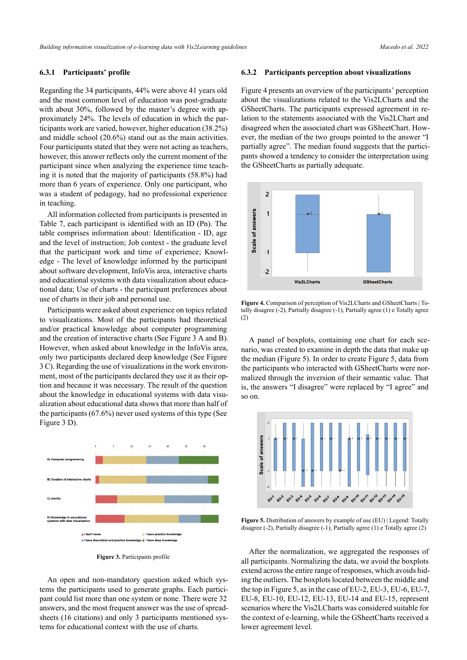#### **6.3.1 Participants' profile**

Regarding the 34 participants, 44% were above 41 years old and the most common level of education was post-graduate with about 30%, followed by the master's degree with approximately 24%. The levels of education in which the participants work are varied, however, higher education (38.2%) and middle school (20.6%) stand out as the main activities. Four participants stated that they were not acting as teachers, however, this answer reflects only the current moment of the participant since when analyzing the experience time teaching it is noted that the majority of participants (58.8%) had more than 6 years of experience. Only one participant, who was a student of pedagogy, had no professional experience in teaching.

All information collected from participants is presented in [Table 7](#page-7-0), each participant is identified with an ID (Pn). The table comprises information about: Identification ID, age and the level of instruction; Job context - the graduate level that the participant work and time of experience; Knowledge - The level of knowledge informed by the participant about software development, InfoVis area, interactive charts and educational systems with data visualization about educational data; Use of charts - the participant preferences about use of charts in their job and personal use.

Participants were asked about experience on topics related to visualizations. Most of the participants had theoretical and/or practical knowledge about computer programming and the creation of interactive charts (See Figure [3](#page-6-0) A and B). However, when asked about knowledge in the InfoVis area, only two participants declared deep knowledge (See Figure [3](#page-6-0) C). Regarding the use of visualizations in the work environment, most of the participants declared they use it as their option and because it was necessary. The result of the question about the knowledge in educational systems with data visualization about educational data shows that more than half of the participants (67.6%) never used systems of this type (See Figure [3](#page-6-0) D).

<span id="page-6-0"></span>

**Figure 3.** Participants profile

An open and non-mandatory question asked which systems the participants used to generate graphs. Each participant could list more than one system or none. There were 32 answers, and the most frequent answer was the use of spreadsheets (16 citations) and only 3 participants mentioned systems for educational context with the use of charts.

#### **6.3.2 Participants perception about visualizations**

Figure [4](#page-6-1) presents an overview of the participants' perception about the visualizations related to the Vis2LCharts and the GSheetCharts. The participants expressed agreement in relation to the statements associated with the Vis2LChart and disagreed when the associated chart was GSheetChart. However, the median of the two groups pointed to the answer "I partially agree". The median found suggests that the participants showed a tendency to consider the interpretation using the GSheetCharts as partially adequate.

<span id="page-6-1"></span>

**Figure 4.** Comparison of perception of Vis2LCharts and GSheetCharts | Totally disagree  $(-2)$ , Partially disagree  $(-1)$ , Partially agree  $(1)$  e Totally agree (2)

A panel of boxplots, containing one chart for each scenario, was created to examine in depth the data that make up the median (Figure [5\)](#page-6-2). In order to create Figure [5](#page-6-2), data from the participants who interacted with GSheetCharts were normalized through the inversion of their semantic value. That is, the answers "I disagree" were replaced by "I agree" and so on.

<span id="page-6-2"></span>

**Figure 5.** Distribution of answers by example of use (EU) | Legend: Totally disagree (-2), Partially disagree (-1), Partially agree (1) e Totally agree (2)

After the normalization, we aggregated the responses of all participants. Normalizing the data, we avoid the boxplots extend across the entire range of responses, which avoids hiding the outliers. The boxplots located between the middle and the top in Figure [5,](#page-6-2) as in the case of EU-2, EU-3, EU-6, EU-7, EU-8, EU-10, EU-12, EU-13, EU-14 and EU-15, represent scenarios where the Vis2LCharts was considered suitable for the context of e-learning, while the GSheetCharts received a lower agreement level.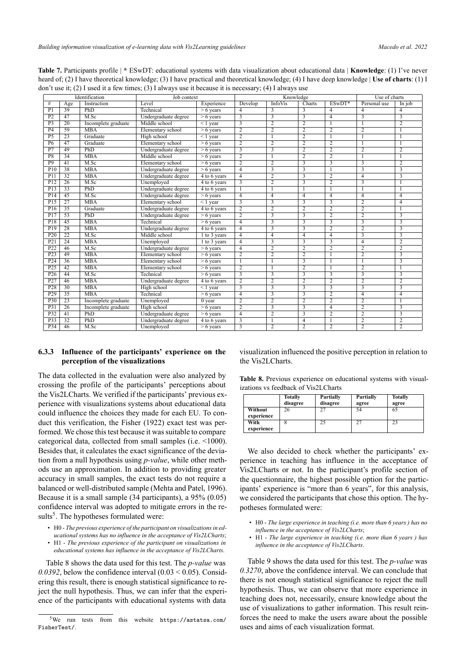| Identification   |                 |                     | Job context          |                           | Knowledge      |                         |                         | Use of charts           |                         |                         |
|------------------|-----------------|---------------------|----------------------|---------------------------|----------------|-------------------------|-------------------------|-------------------------|-------------------------|-------------------------|
| #                | Age             | Instruction         | Level                | Experience                | Develop        | <b>InfoVis</b>          | Charts                  | $ESWDT*$                | Personal use            | In job                  |
| P <sub>1</sub>   | 39              | PhD                 | Technical            | $> 6$ years               | 4              | 3                       | 3                       | 4                       | 4                       | $\overline{4}$          |
| P <sub>2</sub>   | 47              | M.Sc                | Undergraduate degree | $> 6$ years               | $\overline{3}$ | $\overline{\mathbf{3}}$ | 3                       | 4                       | 3                       | 3                       |
| $\overline{P3}$  | 20              | Incomplete graduate | Middle school        | $\leq 1$ year             | $\overline{3}$ | $\overline{2}$          | $\overline{2}$          |                         |                         | $\overline{2}$          |
| P <sub>4</sub>   | 59              | <b>MBA</b>          | Elementary school    | $\overline{>}6$ years     | $\overline{2}$ | $\overline{2}$          | $\overline{2}$          | $\overline{c}$          | $\overline{2}$          |                         |
| P <sub>5</sub>   | 23              | Graduate            | High school          | $< 1$ year                | $\overline{2}$ |                         | $\overline{2}$          |                         |                         |                         |
| $\overline{P6}$  | 47              | Graduate            | Elementary school    | $> 6$ years               | $\overline{2}$ | $\overline{2}$          | $\overline{2}$          | $\overline{2}$          |                         |                         |
| $\overline{P7}$  | 49              | PhD                 | Undergraduate degree | $> 6$ years               | $\overline{3}$ | 3                       | 2                       | $\overline{2}$          | $\overline{2}$          | $\overline{2}$          |
| P <sub>8</sub>   | 34              | <b>MBA</b>          | Middle school        | $> 6$ years               | $\overline{2}$ |                         | $\overline{2}$          | $\overline{2}$          |                         |                         |
| $\overline{P9}$  | 41              | M.Sc                | Elementary school    | $> 6$ years               | $\overline{2}$ | $\overline{2}$          | $\overline{3}$          | 3                       | $\overline{\mathbf{3}}$ | $\overline{2}$          |
| P <sub>10</sub>  | 38              | MBA                 | Undergraduate degree | $> 6$ years               | $\overline{4}$ | 3                       | $\overline{\mathbf{3}}$ |                         | 3                       | 3                       |
| P <sub>11</sub>  | 32              | <b>MBA</b>          | Undergraduate degree | $\overline{4}$ to 6 years | $\overline{4}$ | 2                       | 3                       | $\overline{2}$          | $\overline{4}$          | $\overline{\mathbf{3}}$ |
| PI2              | $\overline{26}$ | M.Sc                | Unemployed           | 4 to 6 years              |                | $\overline{2}$          |                         | $\overline{2}$          | $\overline{\mathbf{3}}$ | $\mathbf{1}$            |
| P13              | $\overline{33}$ | PhD                 | Undergraduate degree | 4 to 6 years              |                |                         | 1                       |                         |                         |                         |
| P <sub>14</sub>  | 45              | M.Sc                | Undergraduate degree | $> 6$ years               | $\overline{4}$ | $\overline{4}$          | $\overline{4}$          | $\overline{4}$          | $\overline{4}$          | $\overline{4}$          |
| PI5              | $\overline{27}$ | <b>MBA</b>          | Elementary school    | $\leq 1$ year             |                | $\overline{3}$          | $\overline{3}$          | $\overline{3}$          | $\overline{2}$          | $\overline{4}$          |
| P <sub>16</sub>  | 35              | Graduate            | Undergraduate degree | 4 to 6 years              | $\overline{2}$ | $\overline{2}$          | $\overline{2}$          | $\overline{2}$          | $\overline{2}$          | -1                      |
| P17              | 53              | PhD                 | Undergraduate degree | $> 6$ years               | $\overline{2}$ | 3                       | 3                       | $\overline{2}$          | $\overline{2}$          | 3                       |
| $\overline{P18}$ | 45              | <b>MBA</b>          | Technical            | $> 6$ years               | 4              | $\overline{3}$          | $\overline{3}$          | $\overline{3}$          | $\overline{3}$          | $\overline{3}$          |
| P <sub>19</sub>  | 28              | MBA                 | Undergraduate degree | $\overline{4}$ to 6 years | $\overline{4}$ | 3                       | $\overline{\mathbf{3}}$ | $\overline{2}$          | $\overline{2}$          | $\overline{\mathbf{3}}$ |
| P <sub>20</sub>  | 22              | M.Sc                | Middle school        | 1 to 3 years              | $\overline{4}$ | $\overline{4}$          | $\overline{4}$          | $\overline{4}$          | 3                       | 3                       |
| P21              | $\overline{24}$ | <b>MBA</b>          | Unemployed           | 1 to 3 years              | $\overline{4}$ |                         | $\overline{\mathbf{3}}$ | $\overline{\mathbf{3}}$ | $\overline{4}$          | $\overline{2}$          |
| P22              | 46              | M.Sc                | Undergraduate degree | $> 6$ years               | $\overline{4}$ | $\overline{2}$          | $\overline{2}$          | $\overline{2}$          | $\overline{2}$          | $\overline{2}$          |
| P <sub>2</sub> 3 | 49              | <b>MBA</b>          | Elementary school    | $> 6$ years               | $\overline{2}$ | $\overline{c}$          | 2                       |                         | $\overline{2}$          | 3                       |
| P <sub>24</sub>  | $\overline{36}$ | <b>MBA</b>          | Elementary school    | $> 6$ years               |                |                         | $\overline{\mathbf{3}}$ |                         |                         | $\overline{\mathbf{3}}$ |
| $\overline{P25}$ | $\overline{42}$ | MBA                 | Elementary school    | $> 6$ years               | $\overline{2}$ |                         | $\overline{2}$          |                         | $\overline{2}$          | $\mathbf{1}$            |
| P <sub>26</sub>  | 44              | M.Sc                | Technical            | $> 6$ years               |                | 3                       | 3                       | 3                       | 3                       | 3                       |
| P27              | 46              | MBA                 | Undergraduate degree | 4 to 6 years              | $\overline{2}$ | $\overline{2}$          | $\overline{2}$          | $\overline{2}$          | $\overline{2}$          | $\overline{2}$          |
| $\overline{P28}$ | $\overline{30}$ | <b>MBA</b>          | High school          | $\leq$ 1 year             |                | 3                       | $\overline{3}$          | $\overline{3}$          | 3                       | $\overline{3}$          |
| P <sub>29</sub>  | 35              | <b>MBA</b>          | Technical            | $> 6$ years               | $\overline{4}$ | $\overline{3}$          | $\overline{\mathbf{3}}$ | $\overline{2}$          | $\overline{4}$          | $\overline{4}$          |
| P30              | $\overline{23}$ | Incomplete graduate | Unemployed           | $0$ year                  | $\overline{2}$ | $\overline{2}$          | $\overline{2}$          | $\overline{2}$          | $\overline{2}$          | $\mathbf{1}$            |
| $\overline{P31}$ | $\overline{26}$ | Incomplete graduate | High school          | $> 6$ years               | $\overline{2}$ | $\overline{\mathbf{3}}$ |                         | 4                       | $\overline{2}$          | $\overline{3}$          |
| P32              | 41              | PhD                 | Undergraduate degree | $> 6$ years               | $\overline{4}$ | $\overline{2}$          | $\overline{3}$          | 2                       | $\overline{c}$          | $\overline{3}$          |
| P33              | $\overline{32}$ | PhD                 | Undergraduate degree | 4 to 6 years              | 3              |                         | $\overline{4}$          |                         | $\overline{2}$          | $\overline{2}$          |
| P34              | 46              | M.Sc                | Unemployed           | $> 6$ years               | $\overline{3}$ | $\overline{2}$          | $\overline{2}$          | $\overline{2}$          | $\overline{2}$          | $\overline{2}$          |

<span id="page-7-0"></span>**Table 7.** Participants profile  $\uparrow$  **ESwDT:** educational systems with data visualization about educational data | **Knowledge:** (1) I've never heard of; (2) I have theoretical knowledge; (3) I have practical and theoretical knowledge; (4) I have deep knowledge | **Use of charts**: (1) I don't use it; (2) I used it a few times; (3) I always use it because it is necessary; (4) I always use

#### **6.3.3 Influence of the participants' experience on the perception of the visualizations**

The data collected in the evaluation were also analyzed by crossing the profile of the participants' perceptions about the Vis2LCharts. We verified if the participants' previous experience with visualizations systems about educational data could influence the choices they made for each EU. To conduct this verification, the [Fisher](#page-10-13) [\(1922](#page-10-13)) exact test was performed. We chose this test because it was suitable to compare categorical data, collected from small samples (i.e. <1000). Besides that, it calculates the exact significance of the deviation from a null hypothesis using *p-value*, while other methods use an approximation. In addition to providing greater accuracy in small samples, the exact tests do not require a balanced or well-distributed sample [\(Mehta and Patel](#page-11-11), [1996\)](#page-11-11). Because it is a small sample (34 participants), a 95% (0.05) confidence interval was adopted to mitigate errors in the results<sup>5</sup>. The hypotheses formulated were:

- H0 *The previous experience of the participant on visualizations in educational systems has no influence in the acceptance of Vis2LCharts*;
- H1 *The previous experience of the participant on visualizations in educational systems has influence in the acceptance of Vis2LCharts*.

Table [8](#page-7-1) shows the data used for this test. The *p-value* was 0.0392, below the confidence interval  $(0.03 \le 0.05)$ . Considering this result, there is enough statistical significance to reject the null hypothesis. Thus, we can infer that the experience of the participants with educational systems with data

visualization influenced the positive perception in relation to the Vis2LCharts.

<span id="page-7-1"></span>**Table 8.** Previous experience on educational systems with visualizations vs feedback of Vis2LCharts

|                       | <b>Totally</b><br>disagree | Partially<br>disagree | Partially<br>agree | <b>Totally</b><br>agree |
|-----------------------|----------------------------|-----------------------|--------------------|-------------------------|
| Without<br>experience | 26                         |                       | 54                 | 65                      |
| With<br>experience    |                            | 25                    | 27                 | 23                      |

We also decided to check whether the participants' experience in teaching has influence in the acceptance of Vis2LCharts or not. In the participant's profile section of the questionnaire, the highest possible option for the participants' experience is "more than 6 years", for this analysis, we considered the participants that chose this option. The hypotheses formulated were:

- H0 *The large experience in teaching (i.e. more than 6 years ) has no influence in the acceptance of Vis2LCharts*;
- H1 *The large experience in teaching (i.e. more than 6 years ) has influence in the acceptance of Vis2LCharts*.

Table [9](#page-8-0) shows the data used for this test. The *p-value* was *0.3270*, above the confidence interval. We can conclude that there is not enough statistical significance to reject the null hypothesis. Thus, we can observe that more experience in teaching does not, necessarily, ensure knowledge about the use of visualizations to gather information. This result reinforces the need to make the users aware about the possible uses and aims of each visualization format.

 $5$ We run tests from this website [https://astatsa.com/](https://astatsa.com/FisherTest/) [FisherTest/](https://astatsa.com/FisherTest/).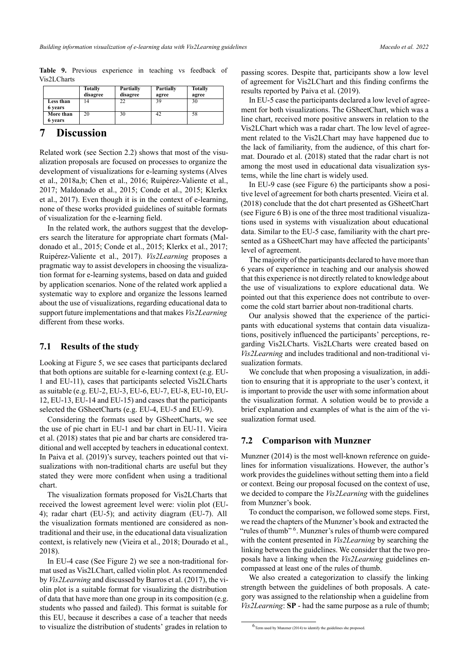<span id="page-8-0"></span>**Table 9.** Previous experience in teaching vs feedback of Vis2LCharts

|           | <b>Totally</b> | Partially | <b>Partially</b> | <b>Totally</b> |
|-----------|----------------|-----------|------------------|----------------|
|           | disagree       | disagree  | agree            | agree          |
| Less than | 14             | 22        | 39               | 30             |
| 6 years   |                |           |                  |                |
| More than | 20             | 30        | 42               | 58             |
| 6 years   |                |           |                  |                |

### **7 Discussion**

Related work (see Section [2.2](#page-1-0)) shows that most of the visualization proposals are focused on processes to organize the development of visualizations for e-learning systems [\(Alves](#page-10-5) [et al.,](#page-10-5) [2018a](#page-10-5),[b;](#page-10-6) [Chen et al.](#page-10-7), [2016](#page-10-7); Ruipérez-Valiente et al., [2017](#page-11-8); [Maldonado et al.,](#page-11-9) [2015;](#page-11-9) [Conde et al.](#page-10-8), [2015;](#page-10-8) [Klerkx](#page-10-9) [et al.](#page-10-9), [2017\)](#page-10-9). Even though it is in the context of elearning, none of these works provided guidelines of suitable formats of visualization for the elearning field.

In the related work, the authors suggest that the developers search the literature for appropriate chart formats([Mal](#page-11-9)[donado et al.](#page-11-9), [2015](#page-11-9); [Conde et al.](#page-10-8), [2015;](#page-10-8) [Klerkx et al.](#page-10-9), [2017;](#page-10-9) Ruipérez-Valiente et al., [2017\)](#page-11-8). *Vis2Learning* proposes a pragmatic way to assist developers in choosing the visualization format for e-learning systems, based on data and guided by application scenarios. None of the related work applied a systematic way to explore and organize the lessons learned about the use of visualizations, regarding educational data to support future implementations and that makes *Vis2Learning* different from these works.

### **7.1 Results of the study**

Looking at Figure [5](#page-6-2), we see cases that participants declared that both options are suitable for e-learning context (e.g. EU-1 and EU-11), cases that participants selected Vis2LCharts as suitable (e.g. EU-2, EU-3, EU-6, EU-7, EU-8, EU-10, EU-12, EU-13, EU-14 and EU-15) and cases that the participants selected the GSheetCharts (e.g. EU-4, EU-5 and EU-9).

Considering the formats used by GSheetCharts, we see the use of pie chart in EU-1 and bar chart in EU-11. [Vieira](#page-11-4) [et al.](#page-11-4) ([2018\)](#page-11-4) states that pie and bar charts are considered traditional and well accepted by teachers in educational context. In [Paiva et al.](#page-11-12) [\(2019](#page-11-12))'s survey, teachers pointed out that visualizations with non-traditional charts are useful but they stated they were more confident when using a traditional chart.

The visualization formats proposed for Vis2LCharts that received the lowest agreement level were: violin plot (EU-4); radar chart  $(EU-5)$ ; and activity diagram  $(EU-7)$ . All the visualization formats mentioned are considered as nontraditional and their use, in the educational data visualization context, is relatively new([Vieira et al.,](#page-11-4) [2018;](#page-11-4) [Dourado et al.](#page-10-14), [2018](#page-10-14)).

In EU-4 case (See Figure [2\)](#page-5-0) we see a non-traditional format used as Vis2LChart, called violin plot. As recommended by *Vis2Learning* and discussed by [Barros et al.](#page-10-15) [\(2017](#page-10-15)), the violin plot is a suitable format for visualizing the distribution of data that have more than one group in its composition (e.g. students who passed and failed). This format is suitable for this EU, because it describes a case of a teacher that needs to visualize the distribution of students' grades in relation to

passing scores. Despite that, participants show a low level of agreement for Vis2LChart and this finding confirms the results reported by [Paiva et al.](#page-11-12) ([2019\)](#page-11-12).

In EU-5 case the participants declared a low level of agreement for both visualizations. The GSheetChart, which was a line chart, received more positive answers in relation to the Vis2LChart which was a radar chart. The low level of agreement related to the Vis2LChart may have happened due to the lack of familiarity, from the audience, of this chart format. [Dourado et al.](#page-10-14) [\(2018\)](#page-10-14) stated that the radar chart is not among the most used in educational data visualization systems, while the line chart is widely used.

In EU-9 case (see Figure [6](#page-9-0)) the participants show a positive level of agreement for both charts presented. [Vieira et al.](#page-11-4) [\(2018](#page-11-4)) conclude that the dot chart presented as GSheetChart (see Figure [6](#page-9-0) B) is one of the three most traditional visualizations used in systems with visualization about educational data. Similar to the EU-5 case, familiarity with the chart presented as a GSheetChart may have affected the participants' level of agreement.

The majority of the participants declared to have more than 6 years of experience in teaching and our analysis showed that this experience is not directly related to knowledge about the use of visualizations to explore educational data. We pointed out that this experience does not contribute to overcome the cold start barrier about non-traditional charts.

Our analysis showed that the experience of the participants with educational systems that contain data visualizations, positively influenced the participants' perceptions, regarding Vis2LCharts. Vis2LCharts were created based on *Vis2Learning* and includes traditional and non-traditional visualization formats.

We conclude that when proposing a visualization, in addition to ensuring that it is appropriate to the user's context, it is important to provide the user with some information about the visualization format. A solution would be to provide a brief explanation and examples of what is the aim of the visualization format used.

#### **7.2 Comparison with Munzner**

[Munzner](#page-11-1)  $(2014)$  $(2014)$  is the most well-known reference on guidelines for information visualizations. However, the author's work provides the guidelines without setting them into a field or context. Being our proposal focused on the context of use, we decided to compare the *Vis2Learning* with the guidelines from Munzner's book.

To conduct the comparison, we followed some steps. First, we read the chapters of the Munzner's book and extracted the "rules of thumb" <sup>6</sup>. Munzner's rules of thumb were compared with the content presented in *Vis2Learning* by searching the linking between the guidelines. We consider that the two proposals have a linking when the *Vis2Learning* guidelines encompassed at least one of the rules of thumb.

We also created a categorization to classify the linking strength between the guidelines of both proposals. A category was assigned to the relationship when a guideline from *Vis2Learning*: **SP** - had the same purpose as a rule of thumb;

<sup>6</sup> Term used by [Munzner](#page-11-1) ([2014\)](#page-11-1) to identify the guidelines she proposed.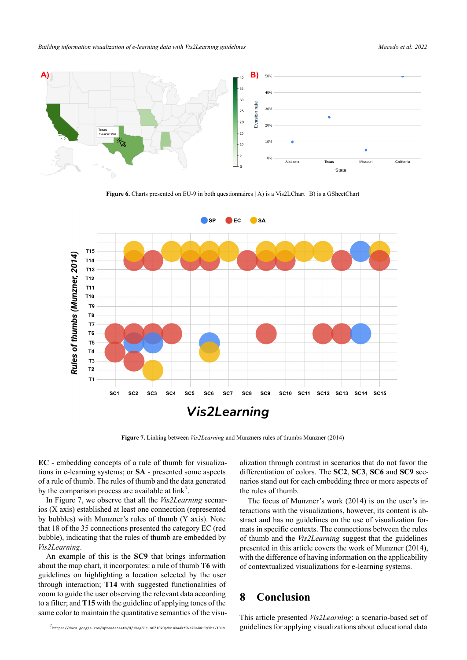*Building information visualization of elearning data with Vis2Learning guidelines Macedo et al. 2022*

<span id="page-9-0"></span>

**Figure 6.** Charts presented on EU-9 in both questionnaires | A) is a Vis2LChart | B) is a GSheetChart

<span id="page-9-1"></span>

**Figure 7.** Linking between *Vis2Learning* and Munzners rules of thumbs [Munzner](#page-11-1) [\(2014](#page-11-1))

**EC** embedding concepts of a rule of thumb for visualizations in e-learning systems; or **SA** - presented some aspects of a rule of thumb. The rules of thumb and the data generated by the comparison process are available at  $link^7$ .

In Figure [7](#page-9-1), we observe that all the *Vis2Learning* scenarios (X axis) established at least one connection (represented by bubbles) with Munzner's rules of thumb (Y axis). Note that 18 of the 35 connections presented the category EC (red bubble), indicating that the rules of thumb are embedded by *Vis2Learning*.

An example of this is the **SC9** that brings information about the map chart, it incorporates: a rule of thumb **T6** with guidelines on highlighting a location selected by the user through interaction; **T14** with suggested functionalities of zoom to guide the user observing the relevant data according to a filter; and **T15** with the guideline of applying tones of the same color to maintain the quantitative semantics of the visualization through contrast in scenarios that do not favor the differentiation of colors. The **SC2**, **SC3**, **SC6** and **SC9** scenarios stand out for each embedding three or more aspects of the rules of thumb.

The focus of Munzner's work([2014\)](#page-11-1) is on the user's interactions with the visualizations, however, its content is abstract and has no guidelines on the use of visualization formats in specific contexts. The connections between the rules of thumb and the *Vis2Learning* suggest that the guidelines presented in this article covers the work of [Munzner](#page-11-1) [\(2014](#page-11-1)), with the difference of having information on the applicability of contextualized visualizations for e-learning systems.

# **8 Conclusion**

This article presented *Vis2Learning*: a scenario-based set of guidelines for applying visualizations about educational data

<sup>7</sup> <https://docs.google.com/spreadsheets/d/1heg3Hc-w0ZA0VOpNsi43A4kf9We7GaGG1IyYhzVXBu8>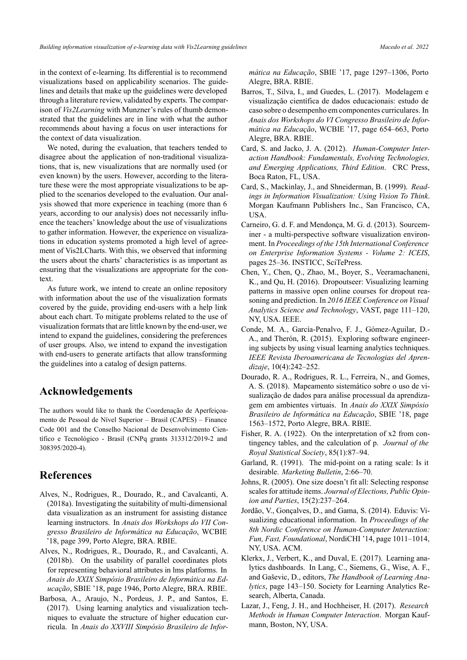in the context of e-learning. Its differential is to recommend visualizations based on applicability scenarios. The guidelines and details that make up the guidelines were developed through a literature review, validated by experts. The comparison of *Vis2Learning* with Munzner's rules of thumb demonstrated that the guidelines are in line with what the author recommends about having a focus on user interactions for the context of data visualization.

We noted, during the evaluation, that teachers tended to disagree about the application of non-traditional visualizations, that is, new visualizations that are normally used (or even known) by the users. However, according to the literature these were the most appropriate visualizations to be applied to the scenarios developed to the evaluation. Our analysis showed that more experience in teaching (more than 6 years, according to our analysis) does not necessarily influence the teachers' knowledge about the use of visualizations to gather information. However, the experience on visualizations in education systems promoted a high level of agreement of Vis2LCharts. With this, we observed that informing the users about the charts' characteristics is as important as ensuring that the visualizations are appropriate for the context.

As future work, we intend to create an online repository with information about the use of the visualization formats covered by the guide, providing end-users with a help link about each chart. To mitigate problems related to the use of visualization formats that are little known by the end-user, we intend to expand the guidelines, considering the preferences of user groups. Also, we intend to expand the investigation with end-users to generate artifacts that allow transforming the guidelines into a catalog of design patterns.

# **Acknowledgements**

The authors would like to thank the Coordenação de Aperfeiçoamento de Pessoal de Nível Superior – Brasil (CAPES) – Finance Code 001 and the Conselho Nacional de Desenvolvimento Científico e Tecnológico - Brasil (CNPq grants 313312/2019-2 and 308395/20204).

### **References**

- <span id="page-10-5"></span>Alves, N., Rodrigues, R., Dourado, R., and Cavalcanti, A.  $(2018a)$ . Investigating the suitability of multi-dimensional data visualization as an instrument for assisting distance learning instructors. In *Anais dos Workshops do VII Congresso Brasileiro de Informática na Educação*, WCBIE '18, page 399, Porto Alegre, BRA. RBIE.
- <span id="page-10-6"></span>Alves, N., Rodrigues, R., Dourado, R., and Cavalcanti, A. (2018b). On the usability of parallel coordinates plots for representing behavioral attributes in lms platforms. In *Anais do XXIX Simpósio Brasileiro de Informática na Educação*, SBIE '18, page 1946, Porto Alegre, BRA. RBIE.
- <span id="page-10-4"></span>Barbosa, A., Araujo, N., Pordeus, J. P., and Santos, E. (2017). Using learning analytics and visualization techniques to evaluate the structure of higher education curricula. In *Anais do XXVIII Simpósio Brasileiro de Infor-*

*mática na Educação*, SBIE '17, page 1297–1306, Porto Alegre, BRA. RBIE.

- <span id="page-10-15"></span>Barros, T., Silva, I., and Guedes, L. (2017). Modelagem e visualização científica de dados educacionais: estudo de caso sobre o desempenho em componentes curriculares. In *Anais dos Workshops do VI Congresso Brasileiro de Informática na Educação*, WCBIE '17, page 654–663, Porto Alegre, BRA. RBIE.
- <span id="page-10-3"></span>Card, S. and Jacko, J. A. (2012). *Human-Computer Interaction Handbook: Fundamentals, Evolving Technologies, and Emerging Applications, Third Edition*. CRC Press, Boca Raton, FL, USA.
- <span id="page-10-0"></span>Card, S., Mackinlay, J., and Shneiderman, B. (1999). *Readings in Information Visualization: Using Vision To Think*. Morgan Kaufmann Publishers Inc., San Francisco, CA, USA.
- <span id="page-10-1"></span>Carneiro, G. d. F. and Mendonça, M. G. d. (2013). Sourceminer - a multi-perspective software visualization environment. In *Proceedings of the 15th International Conference on Enterprise Information Systems Volume 2: ICEIS*, pages 25–36. INSTICC, SciTePress.
- <span id="page-10-7"></span>Chen, Y., Chen, Q., Zhao, M., Boyer, S., Veeramachaneni, K., and Qu, H. (2016). Dropoutseer: Visualizing learning patterns in massive open online courses for dropout reasoning and prediction. In *2016 IEEE Conference on Visual Analytics Science and Technology*, VAST, page 111–120, NY, USA. IEEE.
- <span id="page-10-8"></span>Conde, M. A., García-Penalvo, F. J., Gómez-Aguilar, D.-A., and Therón, R. (2015). Exploring software engineering subjects by using visual learning analytics techniques. *IEEE Revista Iberoamericana de Tecnologias del Aprendizaje*, 10(4):242–252.
- <span id="page-10-14"></span>Dourado, R. A., Rodrigues, R. L., Ferreira, N., and Gomes, A. S. (2018). Mapeamento sistemático sobre o uso de visualização de dados para análise processual da aprendizagem em ambientes virtuais. In *Anais do XXIX Simpósio Brasileiro de Informática na Educação*, SBIE '18, page 1563–1572, Porto Alegre, BRA. RBIE.
- <span id="page-10-13"></span>Fisher, R. A. (1922). On the interpretation of x2 from contingency tables, and the calculation of p. *Journal of the Royal Statistical Society*, 85(1):87–94.
- <span id="page-10-12"></span>Garland, R. (1991). The mid-point on a rating scale: Is it desirable. *Marketing Bulletin*, 2:66–70.
- <span id="page-10-11"></span>Johns, R. (2005). One size doesn't fit all: Selecting response scales for attitude items. *Journal of Elections, Public Opinion and Parties*, 15(2):237–264.
- <span id="page-10-2"></span>Jordão, V., Gonçalves, D., and Gama, S. (2014). Eduvis: Visualizing educational information. In *Proceedings of the 8th Nordic Conference on HumanComputer Interaction: Fun, Fast, Foundational*, NordiCHI '14, page 1011–1014, NY, USA. ACM.
- <span id="page-10-9"></span>Klerkx, J., Verbert, K., and Duval, E. (2017). Learning analytics dashboards. In Lang, C., Siemens, G., Wise, A. F., and Gaševic, D., editors, *The Handbook of Learning Analytics*, page 143–150. Society for Learning Analytics Research, Alberta, Canada.
- <span id="page-10-10"></span>Lazar, J., Feng, J. H., and Hochheiser, H. (2017). *Research Methods in Human Computer Interaction*. Morgan Kaufmann, Boston, NY, USA.